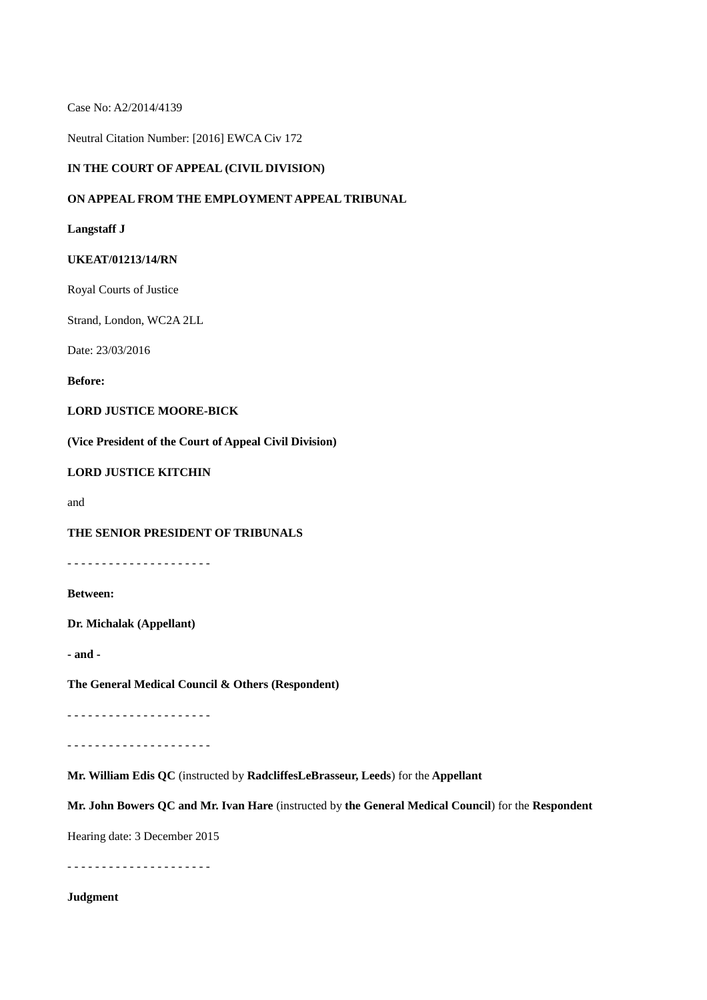Case No: A2/2014/4139

Neutral Citation Number: [2016] EWCA Civ 172

### **IN THE COURT OF APPEAL (CIVIL DIVISION)**

### **ON APPEAL FROM THE EMPLOYMENT APPEAL TRIBUNAL**

#### **Langstaff J**

#### **UKEAT/01213/14/RN**

Royal Courts of Justice

Strand, London, WC2A 2LL

Date: 23/03/2016

**Before:**

# **LORD JUSTICE MOORE-BICK**

**(Vice President of the Court of Appeal Civil Division)**

#### **LORD JUSTICE KITCHIN**

and

### **THE SENIOR PRESIDENT OF TRIBUNALS**

- - - - - - - - - - - - - - - - - - - - -

**Between:**

**Dr. Michalak (Appellant)**

**- and -**

**The General Medical Council & Others (Respondent)**

- - - - - - - - - - - - - - - - - - - - -

- - - - - - - - - - - - - - - - - - - - -

**Mr. William Edis QC** (instructed by **RadcliffesLeBrasseur, Leeds**) for the **Appellant**

**Mr. John Bowers QC and Mr. Ivan Hare** (instructed by **the General Medical Council**) for the **Respondent**

Hearing date: 3 December 2015

- - - - - - - - - - - - - - - - - - - - -

# **Judgment**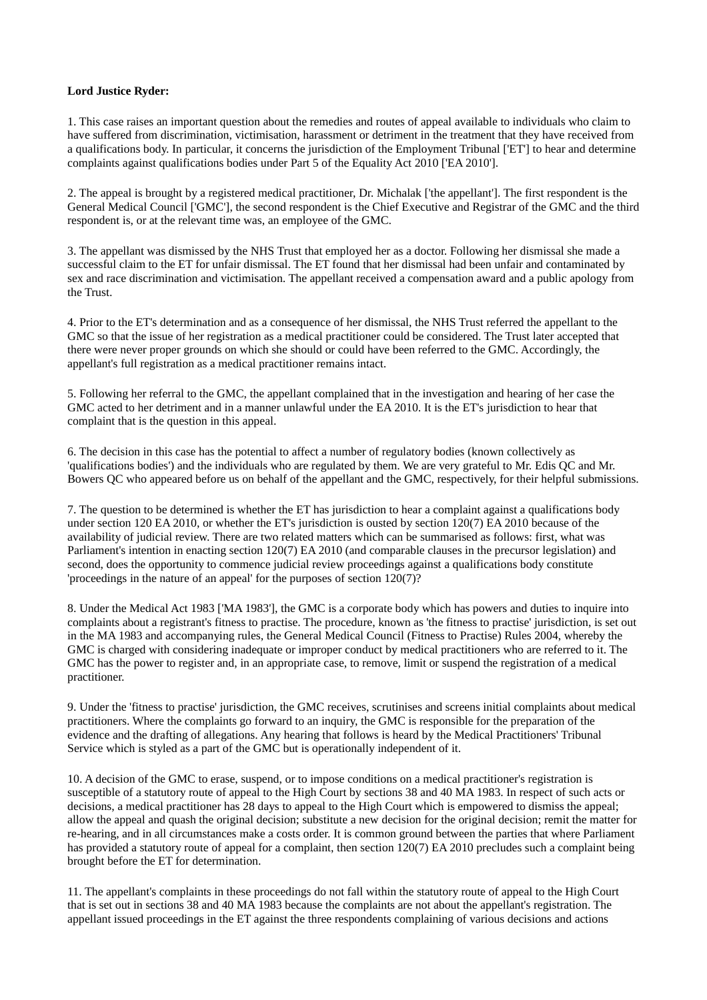### **Lord Justice Ryder:**

1. This case raises an important question about the remedies and routes of appeal available to individuals who claim to have suffered from discrimination, victimisation, harassment or detriment in the treatment that they have received from a qualifications body. In particular, it concerns the jurisdiction of the Employment Tribunal ['ET'] to hear and determine complaints against qualifications bodies under Part 5 of the Equality Act 2010 ['EA 2010'].

2. The appeal is brought by a registered medical practitioner, Dr. Michalak ['the appellant']. The first respondent is the General Medical Council ['GMC'], the second respondent is the Chief Executive and Registrar of the GMC and the third respondent is, or at the relevant time was, an employee of the GMC.

3. The appellant was dismissed by the NHS Trust that employed her as a doctor. Following her dismissal she made a successful claim to the ET for unfair dismissal. The ET found that her dismissal had been unfair and contaminated by sex and race discrimination and victimisation. The appellant received a compensation award and a public apology from the Trust.

4. Prior to the ET's determination and as a consequence of her dismissal, the NHS Trust referred the appellant to the GMC so that the issue of her registration as a medical practitioner could be considered. The Trust later accepted that there were never proper grounds on which she should or could have been referred to the GMC. Accordingly, the appellant's full registration as a medical practitioner remains intact.

5. Following her referral to the GMC, the appellant complained that in the investigation and hearing of her case the GMC acted to her detriment and in a manner unlawful under the EA 2010. It is the ET's jurisdiction to hear that complaint that is the question in this appeal.

6. The decision in this case has the potential to affect a number of regulatory bodies (known collectively as 'qualifications bodies') and the individuals who are regulated by them. We are very grateful to Mr. Edis QC and Mr. Bowers QC who appeared before us on behalf of the appellant and the GMC, respectively, for their helpful submissions.

7. The question to be determined is whether the ET has jurisdiction to hear a complaint against a qualifications body under section 120 EA 2010, or whether the ET's jurisdiction is ousted by section 120(7) EA 2010 because of the availability of judicial review. There are two related matters which can be summarised as follows: first, what was Parliament's intention in enacting section 120(7) EA 2010 (and comparable clauses in the precursor legislation) and second, does the opportunity to commence judicial review proceedings against a qualifications body constitute 'proceedings in the nature of an appeal' for the purposes of section 120(7)?

8. Under the Medical Act 1983 ['MA 1983'], the GMC is a corporate body which has powers and duties to inquire into complaints about a registrant's fitness to practise. The procedure, known as 'the fitness to practise' jurisdiction, is set out in the MA 1983 and accompanying rules, the General Medical Council (Fitness to Practise) Rules 2004, whereby the GMC is charged with considering inadequate or improper conduct by medical practitioners who are referred to it. The GMC has the power to register and, in an appropriate case, to remove, limit or suspend the registration of a medical practitioner.

9. Under the 'fitness to practise' jurisdiction, the GMC receives, scrutinises and screens initial complaints about medical practitioners. Where the complaints go forward to an inquiry, the GMC is responsible for the preparation of the evidence and the drafting of allegations. Any hearing that follows is heard by the Medical Practitioners' Tribunal Service which is styled as a part of the GMC but is operationally independent of it.

10. A decision of the GMC to erase, suspend, or to impose conditions on a medical practitioner's registration is susceptible of a statutory route of appeal to the High Court by sections 38 and 40 MA 1983. In respect of such acts or decisions, a medical practitioner has 28 days to appeal to the High Court which is empowered to dismiss the appeal; allow the appeal and quash the original decision; substitute a new decision for the original decision; remit the matter for re-hearing, and in all circumstances make a costs order. It is common ground between the parties that where Parliament has provided a statutory route of appeal for a complaint, then section 120(7) EA 2010 precludes such a complaint being brought before the ET for determination.

11. The appellant's complaints in these proceedings do not fall within the statutory route of appeal to the High Court that is set out in sections 38 and 40 MA 1983 because the complaints are not about the appellant's registration. The appellant issued proceedings in the ET against the three respondents complaining of various decisions and actions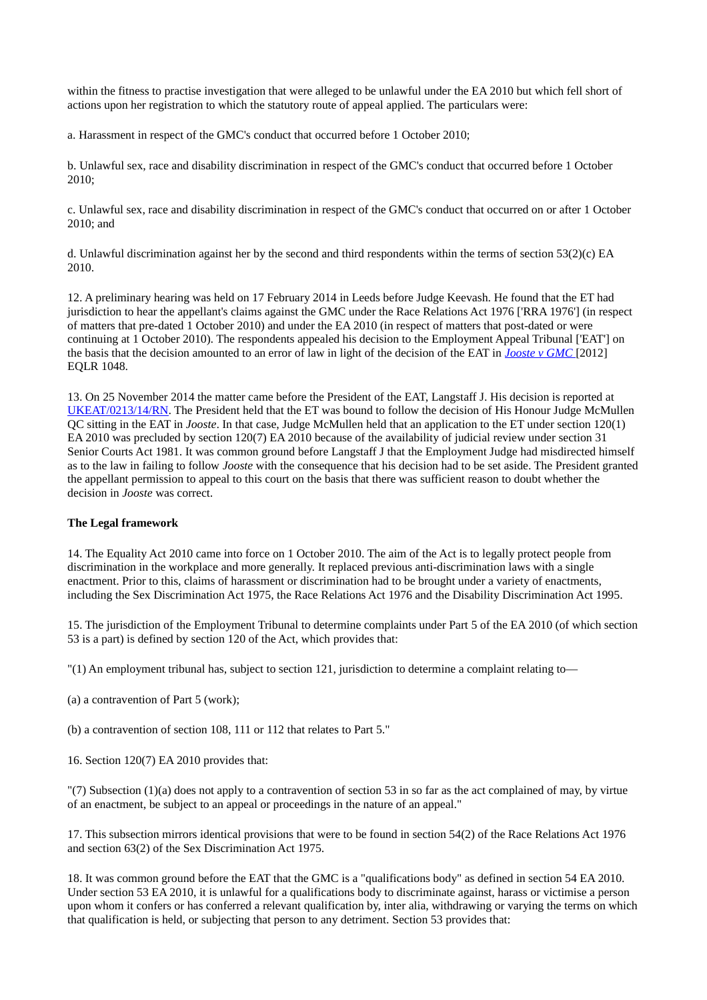within the fitness to practise investigation that were alleged to be unlawful under the EA 2010 but which fell short of actions upon her registration to which the statutory route of appeal applied. The particulars were:

a. Harassment in respect of the GMC's conduct that occurred before 1 October 2010;

b. Unlawful sex, race and disability discrimination in respect of the GMC's conduct that occurred before 1 October 2010;

c. Unlawful sex, race and disability discrimination in respect of the GMC's conduct that occurred on or after 1 October 2010; and

d. Unlawful discrimination against her by the second and third respondents within the terms of section 53(2)(c) EA 2010.

12. A preliminary hearing was held on 17 February 2014 in Leeds before Judge Keevash. He found that the ET had jurisdiction to hear the appellant's claims against the GMC under the Race Relations Act 1976 ['RRA 1976'] (in respect of matters that pre-dated 1 October 2010) and under the EA 2010 (in respect of matters that post-dated or were continuing at 1 October 2010). The respondents appealed his decision to the Employment Appeal Tribunal ['EAT'] on the basis that the decision amounted to an error of law in light of the decision of the EAT in *[Jooste v GMC](http://www.employmentcasesupdate.co.uk/site.aspx?i=ed12399)* [2012] EQLR 1048.

13. On 25 November 2014 the matter came before the President of the EAT, Langstaff J. His decision is reported at [UKEAT/0213/14/RN.](http://www.employmentcasesupdate.co.uk/site.aspx?i=ed24994) The President held that the ET was bound to follow the decision of His Honour Judge McMullen QC sitting in the EAT in *Jooste*. In that case, Judge McMullen held that an application to the ET under section 120(1) EA 2010 was precluded by section 120(7) EA 2010 because of the availability of judicial review under section 31 Senior Courts Act 1981. It was common ground before Langstaff J that the Employment Judge had misdirected himself as to the law in failing to follow *Jooste* with the consequence that his decision had to be set aside. The President granted the appellant permission to appeal to this court on the basis that there was sufficient reason to doubt whether the decision in *Jooste* was correct.

### **The Legal framework**

14. The Equality Act 2010 came into force on 1 October 2010. The aim of the Act is to legally protect people from discrimination in the workplace and more generally. It replaced previous anti-discrimination laws with a single enactment. Prior to this, claims of harassment or discrimination had to be brought under a variety of enactments, including the Sex Discrimination Act 1975, the Race Relations Act 1976 and the Disability Discrimination Act 1995.

15. The jurisdiction of the Employment Tribunal to determine complaints under Part 5 of the EA 2010 (of which section 53 is a part) is defined by section 120 of the Act, which provides that:

"(1) An employment tribunal has, subject to section 121, jurisdiction to determine a complaint relating to—

(a) a contravention of Part 5 (work);

(b) a contravention of section 108, 111 or 112 that relates to Part 5."

16. Section 120(7) EA 2010 provides that:

"(7) Subsection (1)(a) does not apply to a contravention of section 53 in so far as the act complained of may, by virtue of an enactment, be subject to an appeal or proceedings in the nature of an appeal."

17. This subsection mirrors identical provisions that were to be found in section 54(2) of the Race Relations Act 1976 and section 63(2) of the Sex Discrimination Act 1975.

18. It was common ground before the EAT that the GMC is a "qualifications body" as defined in section 54 EA 2010. Under section 53 EA 2010, it is unlawful for a qualifications body to discriminate against, harass or victimise a person upon whom it confers or has conferred a relevant qualification by, inter alia, withdrawing or varying the terms on which that qualification is held, or subjecting that person to any detriment. Section 53 provides that: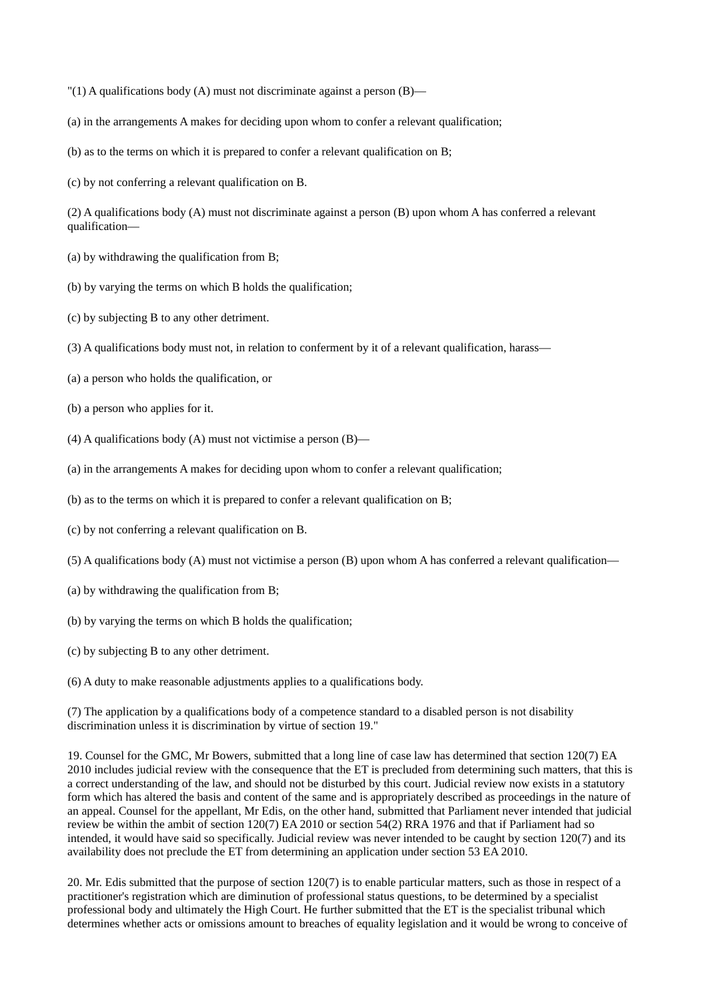- "(1) A qualifications body (A) must not discriminate against a person (B)—
- (a) in the arrangements A makes for deciding upon whom to confer a relevant qualification;
- (b) as to the terms on which it is prepared to confer a relevant qualification on B;
- (c) by not conferring a relevant qualification on B.

(2) A qualifications body (A) must not discriminate against a person (B) upon whom A has conferred a relevant qualification—

- (a) by withdrawing the qualification from B;
- (b) by varying the terms on which B holds the qualification;
- (c) by subjecting B to any other detriment.
- (3) A qualifications body must not, in relation to conferment by it of a relevant qualification, harass—
- (a) a person who holds the qualification, or
- (b) a person who applies for it.
- (4) A qualifications body (A) must not victimise a person  $(B)$ —
- (a) in the arrangements A makes for deciding upon whom to confer a relevant qualification;
- (b) as to the terms on which it is prepared to confer a relevant qualification on B;
- (c) by not conferring a relevant qualification on B.
- (5) A qualifications body (A) must not victimise a person (B) upon whom A has conferred a relevant qualification—
- (a) by withdrawing the qualification from B;
- (b) by varying the terms on which B holds the qualification;
- (c) by subjecting B to any other detriment.
- (6) A duty to make reasonable adjustments applies to a qualifications body.

(7) The application by a qualifications body of a competence standard to a disabled person is not disability discrimination unless it is discrimination by virtue of section 19."

19. Counsel for the GMC, Mr Bowers, submitted that a long line of case law has determined that section 120(7) EA 2010 includes judicial review with the consequence that the ET is precluded from determining such matters, that this is a correct understanding of the law, and should not be disturbed by this court. Judicial review now exists in a statutory form which has altered the basis and content of the same and is appropriately described as proceedings in the nature of an appeal. Counsel for the appellant, Mr Edis, on the other hand, submitted that Parliament never intended that judicial review be within the ambit of section 120(7) EA 2010 or section 54(2) RRA 1976 and that if Parliament had so intended, it would have said so specifically. Judicial review was never intended to be caught by section 120(7) and its availability does not preclude the ET from determining an application under section 53 EA 2010.

20. Mr. Edis submitted that the purpose of section 120(7) is to enable particular matters, such as those in respect of a practitioner's registration which are diminution of professional status questions, to be determined by a specialist professional body and ultimately the High Court. He further submitted that the ET is the specialist tribunal which determines whether acts or omissions amount to breaches of equality legislation and it would be wrong to conceive of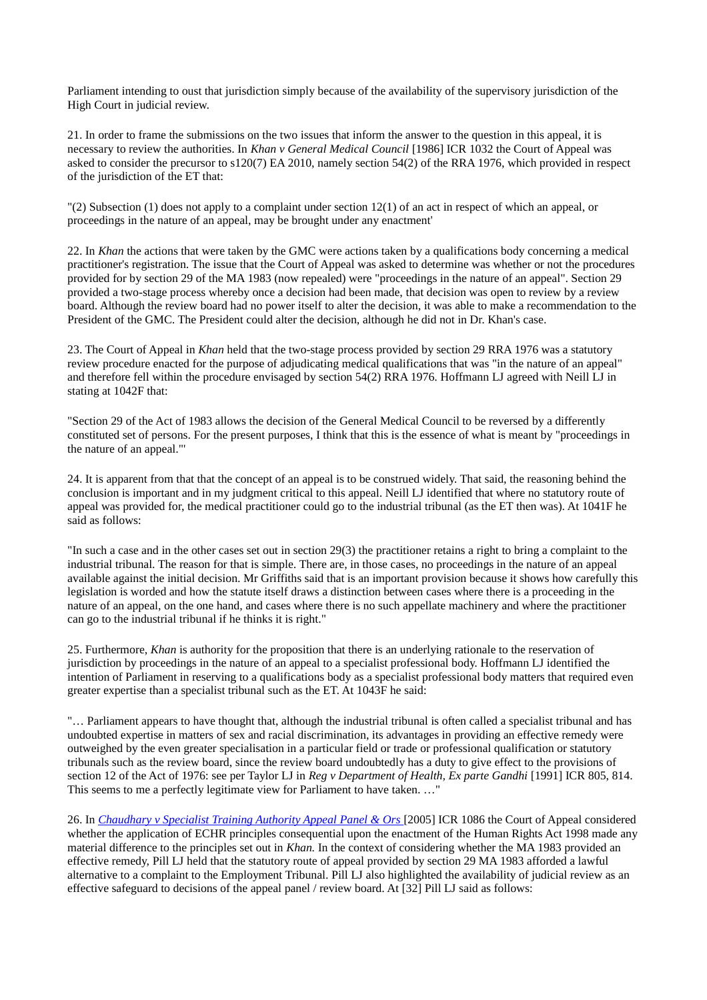Parliament intending to oust that jurisdiction simply because of the availability of the supervisory jurisdiction of the High Court in judicial review.

21. In order to frame the submissions on the two issues that inform the answer to the question in this appeal, it is necessary to review the authorities. In *Khan v General Medical Council* [1986] ICR 1032 the Court of Appeal was asked to consider the precursor to s120(7) EA 2010, namely section 54(2) of the RRA 1976, which provided in respect of the jurisdiction of the ET that:

"(2) Subsection (1) does not apply to a complaint under section 12(1) of an act in respect of which an appeal, or proceedings in the nature of an appeal, may be brought under any enactment'

22. In *Khan* the actions that were taken by the GMC were actions taken by a qualifications body concerning a medical practitioner's registration. The issue that the Court of Appeal was asked to determine was whether or not the procedures provided for by section 29 of the MA 1983 (now repealed) were "proceedings in the nature of an appeal". Section 29 provided a two-stage process whereby once a decision had been made, that decision was open to review by a review board. Although the review board had no power itself to alter the decision, it was able to make a recommendation to the President of the GMC. The President could alter the decision, although he did not in Dr. Khan's case.

23. The Court of Appeal in *Khan* held that the two-stage process provided by section 29 RRA 1976 was a statutory review procedure enacted for the purpose of adjudicating medical qualifications that was "in the nature of an appeal" and therefore fell within the procedure envisaged by section 54(2) RRA 1976. Hoffmann LJ agreed with Neill LJ in stating at 1042F that:

"Section 29 of the Act of 1983 allows the decision of the General Medical Council to be reversed by a differently constituted set of persons. For the present purposes, I think that this is the essence of what is meant by "proceedings in the nature of an appeal."'

24. It is apparent from that that the concept of an appeal is to be construed widely. That said, the reasoning behind the conclusion is important and in my judgment critical to this appeal. Neill LJ identified that where no statutory route of appeal was provided for, the medical practitioner could go to the industrial tribunal (as the ET then was). At 1041F he said as follows:

"In such a case and in the other cases set out in section 29(3) the practitioner retains a right to bring a complaint to the industrial tribunal. The reason for that is simple. There are, in those cases, no proceedings in the nature of an appeal available against the initial decision. Mr Griffiths said that is an important provision because it shows how carefully this legislation is worded and how the statute itself draws a distinction between cases where there is a proceeding in the nature of an appeal, on the one hand, and cases where there is no such appellate machinery and where the practitioner can go to the industrial tribunal if he thinks it is right."

25. Furthermore, *Khan* is authority for the proposition that there is an underlying rationale to the reservation of jurisdiction by proceedings in the nature of an appeal to a specialist professional body. Hoffmann LJ identified the intention of Parliament in reserving to a qualifications body as a specialist professional body matters that required even greater expertise than a specialist tribunal such as the ET. At 1043F he said:

"… Parliament appears to have thought that, although the industrial tribunal is often called a specialist tribunal and has undoubted expertise in matters of sex and racial discrimination, its advantages in providing an effective remedy were outweighed by the even greater specialisation in a particular field or trade or professional qualification or statutory tribunals such as the review board, since the review board undoubtedly has a duty to give effect to the provisions of section 12 of the Act of 1976: see per Taylor LJ in *Reg v Department of Health, Ex parte Gandhi* [1991] ICR 805, 814. This seems to me a perfectly legitimate view for Parliament to have taken. …"

26. In *[Chaudhary v Specialist Training Authority Appeal Panel & Ors](http://www.bailii.org/ew/cases/EWCA/Civ/2005/282.html)* [2005] ICR 1086 the Court of Appeal considered whether the application of ECHR principles consequential upon the enactment of the Human Rights Act 1998 made any material difference to the principles set out in *Khan.* In the context of considering whether the MA 1983 provided an effective remedy, Pill LJ held that the statutory route of appeal provided by section 29 MA 1983 afforded a lawful alternative to a complaint to the Employment Tribunal. Pill LJ also highlighted the availability of judicial review as an effective safeguard to decisions of the appeal panel / review board. At [32] Pill LJ said as follows: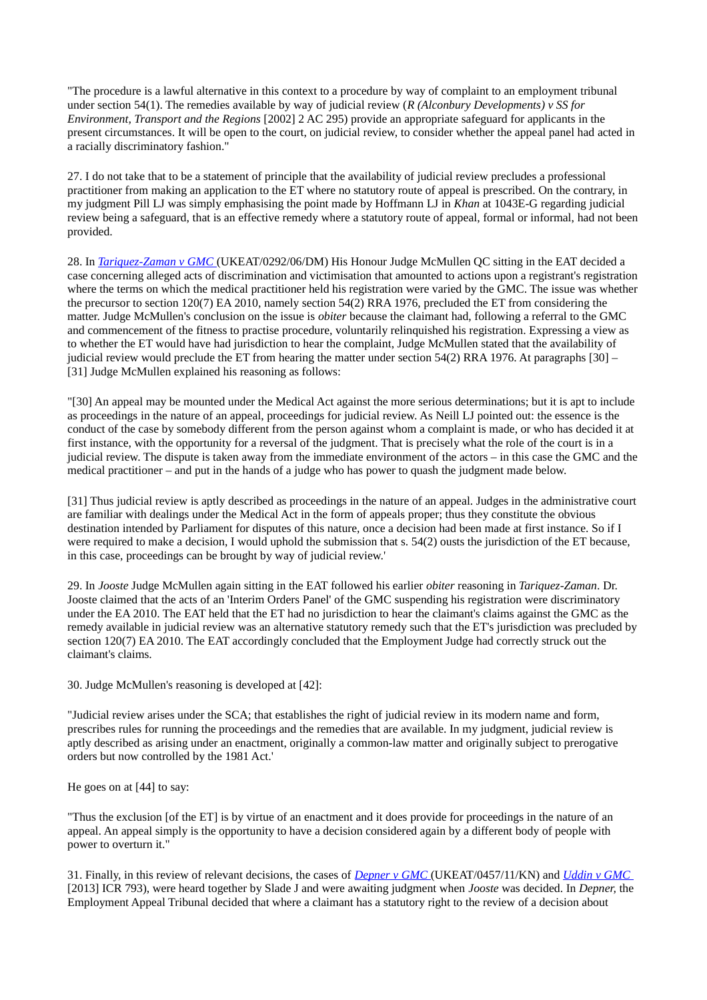"The procedure is a lawful alternative in this context to a procedure by way of complaint to an employment tribunal under section 54(1). The remedies available by way of judicial review (*R (Alconbury Developments) v SS for Environment, Transport and the Regions* [2002] 2 AC 295) provide an appropriate safeguard for applicants in the present circumstances. It will be open to the court, on judicial review, to consider whether the appeal panel had acted in a racially discriminatory fashion."

27. I do not take that to be a statement of principle that the availability of judicial review precludes a professional practitioner from making an application to the ET where no statutory route of appeal is prescribed. On the contrary, in my judgment Pill LJ was simply emphasising the point made by Hoffmann LJ in *Khan* at 1043E-G regarding judicial review being a safeguard, that is an effective remedy where a statutory route of appeal, formal or informal, had not been provided.

28. In *[Tariquez-Zaman v GMC](http://www.bailii.org/uk/cases/UKEAT/2006/0292_06_2012.html)* (UKEAT/0292/06/DM) His Honour Judge McMullen QC sitting in the EAT decided a case concerning alleged acts of discrimination and victimisation that amounted to actions upon a registrant's registration where the terms on which the medical practitioner held his registration were varied by the GMC. The issue was whether the precursor to section 120(7) EA 2010, namely section 54(2) RRA 1976, precluded the ET from considering the matter. Judge McMullen's conclusion on the issue is *obiter* because the claimant had, following a referral to the GMC and commencement of the fitness to practise procedure, voluntarily relinquished his registration. Expressing a view as to whether the ET would have had jurisdiction to hear the complaint, Judge McMullen stated that the availability of judicial review would preclude the ET from hearing the matter under section 54(2) RRA 1976. At paragraphs [30] – [31] Judge McMullen explained his reasoning as follows:

"[30] An appeal may be mounted under the Medical Act against the more serious determinations; but it is apt to include as proceedings in the nature of an appeal, proceedings for judicial review. As Neill LJ pointed out: the essence is the conduct of the case by somebody different from the person against whom a complaint is made, or who has decided it at first instance, with the opportunity for a reversal of the judgment. That is precisely what the role of the court is in a judicial review. The dispute is taken away from the immediate environment of the actors – in this case the GMC and the medical practitioner – and put in the hands of a judge who has power to quash the judgment made below.

[31] Thus judicial review is aptly described as proceedings in the nature of an appeal. Judges in the administrative court are familiar with dealings under the Medical Act in the form of appeals proper; thus they constitute the obvious destination intended by Parliament for disputes of this nature, once a decision had been made at first instance. So if I were required to make a decision, I would uphold the submission that s. 54(2) ousts the jurisdiction of the ET because, in this case, proceedings can be brought by way of judicial review.'

29. In *Jooste* Judge McMullen again sitting in the EAT followed his earlier *obiter* reasoning in *Tariquez-Zaman*. Dr. Jooste claimed that the acts of an 'Interim Orders Panel' of the GMC suspending his registration were discriminatory under the EA 2010. The EAT held that the ET had no jurisdiction to hear the claimant's claims against the GMC as the remedy available in judicial review was an alternative statutory remedy such that the ET's jurisdiction was precluded by section 120(7) EA 2010. The EAT accordingly concluded that the Employment Judge had correctly struck out the claimant's claims.

30. Judge McMullen's reasoning is developed at [42]:

"Judicial review arises under the SCA; that establishes the right of judicial review in its modern name and form, prescribes rules for running the proceedings and the remedies that are available. In my judgment, judicial review is aptly described as arising under an enactment, originally a common-law matter and originally subject to prerogative orders but now controlled by the 1981 Act.'

He goes on at [44] to say:

"Thus the exclusion [of the ET] is by virtue of an enactment and it does provide for proceedings in the nature of an appeal. An appeal simply is the opportunity to have a decision considered again by a different body of people with power to overturn it."

31. Finally, in this review of relevant decisions, the cases of *[Depner v GMC](http://www.employmentcasesupdate.co.uk/site.aspx?i=ed15711)* (UKEAT/0457/11/KN) and *[Uddin v GMC](http://www.employmentcasesupdate.co.uk/site.aspx?i=ed15712)*  [2013] ICR 793), were heard together by Slade J and were awaiting judgment when *Jooste* was decided. In *Depner,* the Employment Appeal Tribunal decided that where a claimant has a statutory right to the review of a decision about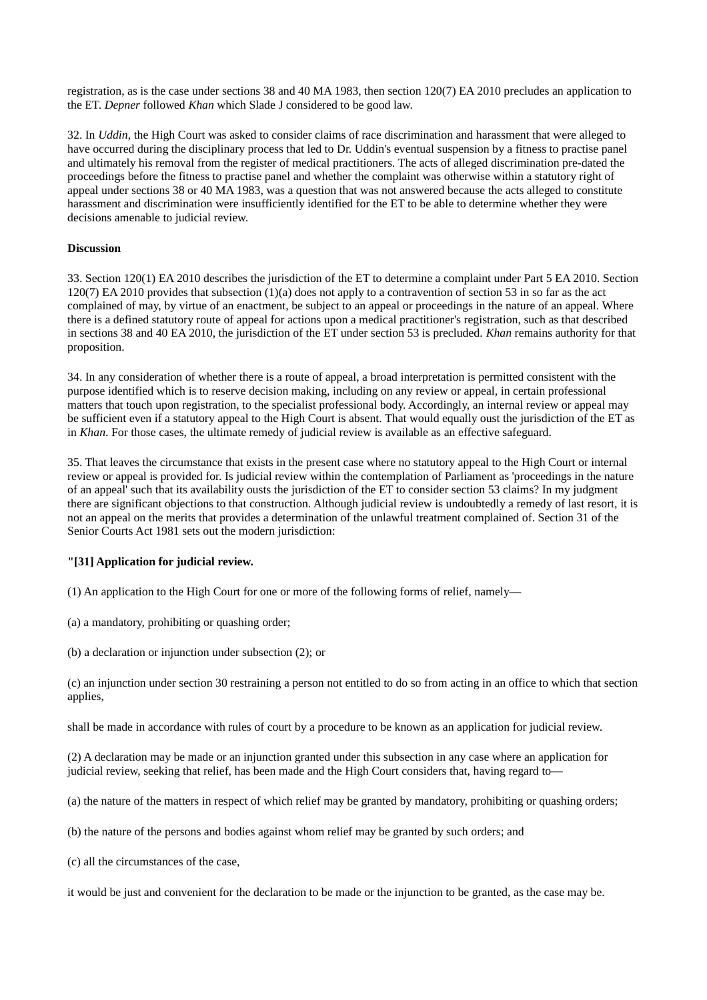registration, as is the case under sections 38 and 40 MA 1983, then section 120(7) EA 2010 precludes an application to the ET. *Depner* followed *Khan* which Slade J considered to be good law.

32. In *Uddin*, the High Court was asked to consider claims of race discrimination and harassment that were alleged to have occurred during the disciplinary process that led to Dr. Uddin's eventual suspension by a fitness to practise panel and ultimately his removal from the register of medical practitioners. The acts of alleged discrimination pre-dated the proceedings before the fitness to practise panel and whether the complaint was otherwise within a statutory right of appeal under sections 38 or 40 MA 1983, was a question that was not answered because the acts alleged to constitute harassment and discrimination were insufficiently identified for the ET to be able to determine whether they were decisions amenable to judicial review.

### **Discussion**

33. Section 120(1) EA 2010 describes the jurisdiction of the ET to determine a complaint under Part 5 EA 2010. Section 120(7) EA 2010 provides that subsection (1)(a) does not apply to a contravention of section 53 in so far as the act complained of may, by virtue of an enactment, be subject to an appeal or proceedings in the nature of an appeal. Where there is a defined statutory route of appeal for actions upon a medical practitioner's registration, such as that described in sections 38 and 40 EA 2010, the jurisdiction of the ET under section 53 is precluded. *Khan* remains authority for that proposition.

34. In any consideration of whether there is a route of appeal, a broad interpretation is permitted consistent with the purpose identified which is to reserve decision making, including on any review or appeal, in certain professional matters that touch upon registration, to the specialist professional body. Accordingly, an internal review or appeal may be sufficient even if a statutory appeal to the High Court is absent. That would equally oust the jurisdiction of the ET as in *Khan*. For those cases, the ultimate remedy of judicial review is available as an effective safeguard.

35. That leaves the circumstance that exists in the present case where no statutory appeal to the High Court or internal review or appeal is provided for. Is judicial review within the contemplation of Parliament as 'proceedings in the nature of an appeal' such that its availability ousts the jurisdiction of the ET to consider section 53 claims? In my judgment there are significant objections to that construction. Although judicial review is undoubtedly a remedy of last resort, it is not an appeal on the merits that provides a determination of the unlawful treatment complained of. Section 31 of the Senior Courts Act 1981 sets out the modern jurisdiction:

### **"[31] Application for judicial review.**

(1) An application to the High Court for one or more of the following forms of relief, namely—

- (a) a mandatory, prohibiting or quashing order;
- (b) a declaration or injunction under subsection (2); or

(c) an injunction under section 30 restraining a person not entitled to do so from acting in an office to which that section applies,

shall be made in accordance with rules of court by a procedure to be known as an application for judicial review.

(2) A declaration may be made or an injunction granted under this subsection in any case where an application for judicial review, seeking that relief, has been made and the High Court considers that, having regard to—

- (a) the nature of the matters in respect of which relief may be granted by mandatory, prohibiting or quashing orders;
- (b) the nature of the persons and bodies against whom relief may be granted by such orders; and
- (c) all the circumstances of the case,

it would be just and convenient for the declaration to be made or the injunction to be granted, as the case may be.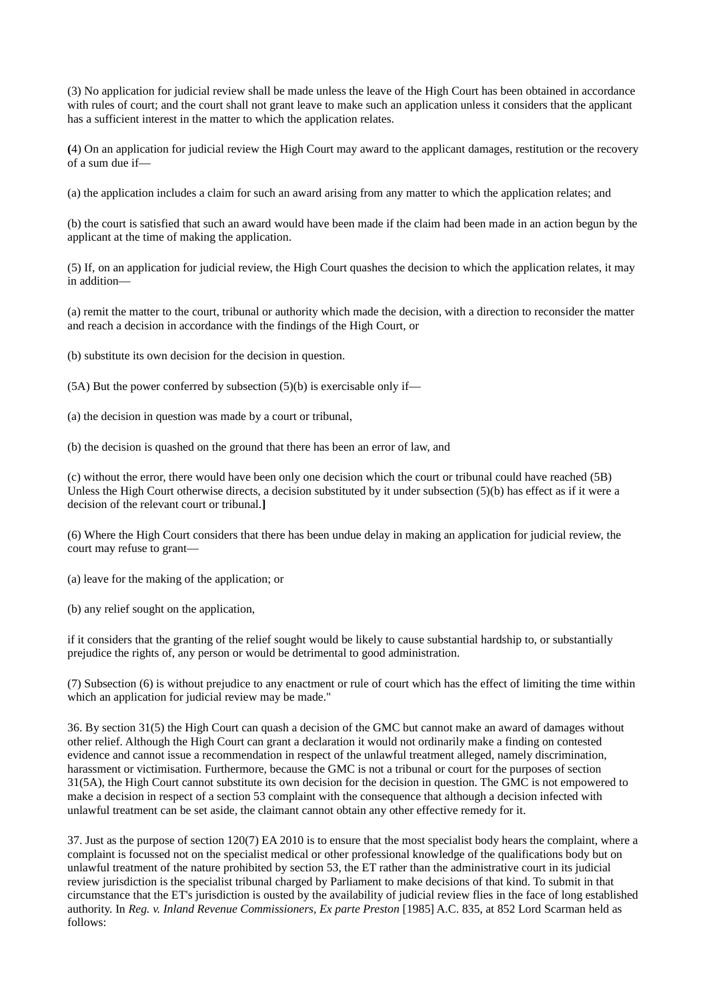(3) No application for judicial review shall be made unless the leave of the High Court has been obtained in accordance with rules of court; and the court shall not grant leave to make such an application unless it considers that the applicant has a sufficient interest in the matter to which the application relates.

**(**4) On an application for judicial review the High Court may award to the applicant damages, restitution or the recovery of a sum due if—

(a) the application includes a claim for such an award arising from any matter to which the application relates; and

(b) the court is satisfied that such an award would have been made if the claim had been made in an action begun by the applicant at the time of making the application.

(5) If, on an application for judicial review, the High Court quashes the decision to which the application relates, it may in addition—

(a) remit the matter to the court, tribunal or authority which made the decision, with a direction to reconsider the matter and reach a decision in accordance with the findings of the High Court, or

(b) substitute its own decision for the decision in question.

(5A) But the power conferred by subsection (5)(b) is exercisable only if—

(a) the decision in question was made by a court or tribunal,

(b) the decision is quashed on the ground that there has been an error of law, and

(c) without the error, there would have been only one decision which the court or tribunal could have reached (5B) Unless the High Court otherwise directs, a decision substituted by it under subsection (5)(b) has effect as if it were a decision of the relevant court or tribunal.**]**

(6) Where the High Court considers that there has been undue delay in making an application for judicial review, the court may refuse to grant—

(a) leave for the making of the application; or

(b) any relief sought on the application,

if it considers that the granting of the relief sought would be likely to cause substantial hardship to, or substantially prejudice the rights of, any person or would be detrimental to good administration.

(7) Subsection (6) is without prejudice to any enactment or rule of court which has the effect of limiting the time within which an application for judicial review may be made."

36. By section 31(5) the High Court can quash a decision of the GMC but cannot make an award of damages without other relief. Although the High Court can grant a declaration it would not ordinarily make a finding on contested evidence and cannot issue a recommendation in respect of the unlawful treatment alleged, namely discrimination, harassment or victimisation. Furthermore, because the GMC is not a tribunal or court for the purposes of section 31(5A), the High Court cannot substitute its own decision for the decision in question. The GMC is not empowered to make a decision in respect of a section 53 complaint with the consequence that although a decision infected with unlawful treatment can be set aside, the claimant cannot obtain any other effective remedy for it.

37. Just as the purpose of section 120(7) EA 2010 is to ensure that the most specialist body hears the complaint, where a complaint is focussed not on the specialist medical or other professional knowledge of the qualifications body but on unlawful treatment of the nature prohibited by section 53, the ET rather than the administrative court in its judicial review jurisdiction is the specialist tribunal charged by Parliament to make decisions of that kind. To submit in that circumstance that the ET's jurisdiction is ousted by the availability of judicial review flies in the face of long established authority. In *Reg. v. Inland Revenue Commissioners, Ex parte Preston* [1985] A.C. 835, at 852 Lord Scarman held as follows: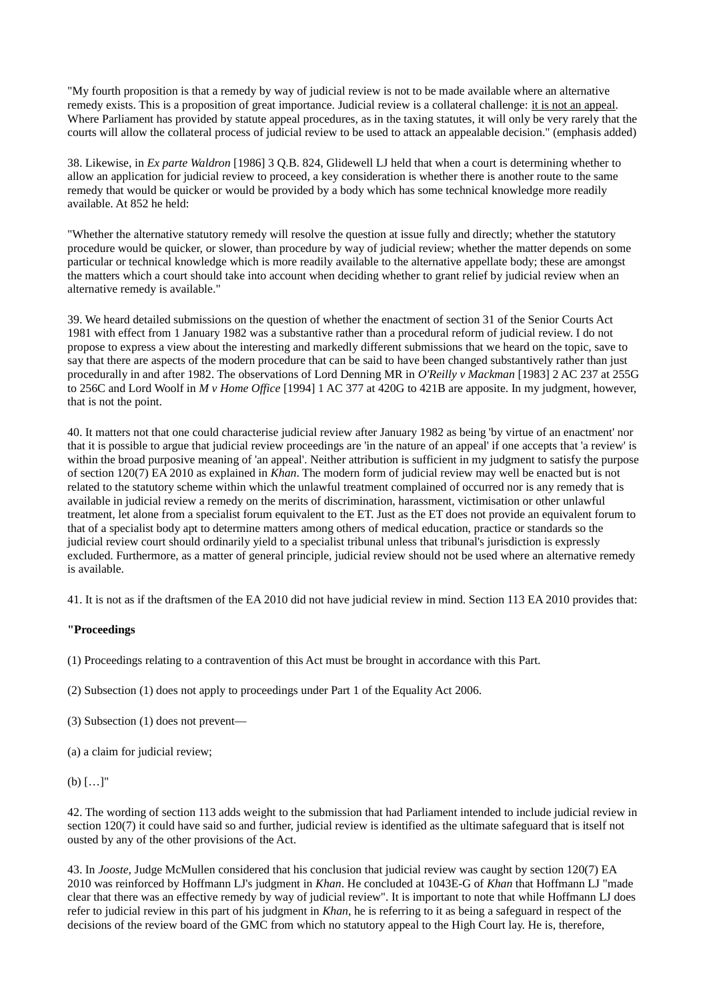"My fourth proposition is that a remedy by way of judicial review is not to be made available where an alternative remedy exists. This is a proposition of great importance. Judicial review is a collateral challenge: it is not an appeal. Where Parliament has provided by statute appeal procedures, as in the taxing statutes, it will only be very rarely that the courts will allow the collateral process of judicial review to be used to attack an appealable decision." (emphasis added)

38. Likewise, in *Ex parte Waldron* [1986] 3 Q.B. 824, Glidewell LJ held that when a court is determining whether to allow an application for judicial review to proceed, a key consideration is whether there is another route to the same remedy that would be quicker or would be provided by a body which has some technical knowledge more readily available. At 852 he held:

"Whether the alternative statutory remedy will resolve the question at issue fully and directly; whether the statutory procedure would be quicker, or slower, than procedure by way of judicial review; whether the matter depends on some particular or technical knowledge which is more readily available to the alternative appellate body; these are amongst the matters which a court should take into account when deciding whether to grant relief by judicial review when an alternative remedy is available."

39. We heard detailed submissions on the question of whether the enactment of section 31 of the Senior Courts Act 1981 with effect from 1 January 1982 was a substantive rather than a procedural reform of judicial review. I do not propose to express a view about the interesting and markedly different submissions that we heard on the topic, save to say that there are aspects of the modern procedure that can be said to have been changed substantively rather than just procedurally in and after 1982. The observations of Lord Denning MR in *O'Reilly v Mackman* [1983] 2 AC 237 at 255G to 256C and Lord Woolf in *M v Home Office* [1994] 1 AC 377 at 420G to 421B are apposite. In my judgment, however, that is not the point.

40. It matters not that one could characterise judicial review after January 1982 as being 'by virtue of an enactment' nor that it is possible to argue that judicial review proceedings are 'in the nature of an appeal' if one accepts that 'a review' is within the broad purposive meaning of 'an appeal'. Neither attribution is sufficient in my judgment to satisfy the purpose of section 120(7) EA 2010 as explained in *Khan*. The modern form of judicial review may well be enacted but is not related to the statutory scheme within which the unlawful treatment complained of occurred nor is any remedy that is available in judicial review a remedy on the merits of discrimination, harassment, victimisation or other unlawful treatment, let alone from a specialist forum equivalent to the ET. Just as the ET does not provide an equivalent forum to that of a specialist body apt to determine matters among others of medical education, practice or standards so the judicial review court should ordinarily yield to a specialist tribunal unless that tribunal's jurisdiction is expressly excluded. Furthermore, as a matter of general principle, judicial review should not be used where an alternative remedy is available.

41. It is not as if the draftsmen of the EA 2010 did not have judicial review in mind. Section 113 EA 2010 provides that:

### **"Proceedings**

(1) Proceedings relating to a contravention of this Act must be brought in accordance with this Part.

(2) Subsection (1) does not apply to proceedings under Part 1 of the Equality Act 2006.

- (3) Subsection (1) does not prevent—
- (a) a claim for judicial review;

# (b) […]"

42. The wording of section 113 adds weight to the submission that had Parliament intended to include judicial review in section 120(7) it could have said so and further, judicial review is identified as the ultimate safeguard that is itself not ousted by any of the other provisions of the Act.

43. In *Jooste,* Judge McMullen considered that his conclusion that judicial review was caught by section 120(7) EA 2010 was reinforced by Hoffmann LJ's judgment in *Khan*. He concluded at 1043E-G of *Khan* that Hoffmann LJ "made clear that there was an effective remedy by way of judicial review". It is important to note that while Hoffmann LJ does refer to judicial review in this part of his judgment in *Khan*, he is referring to it as being a safeguard in respect of the decisions of the review board of the GMC from which no statutory appeal to the High Court lay. He is, therefore,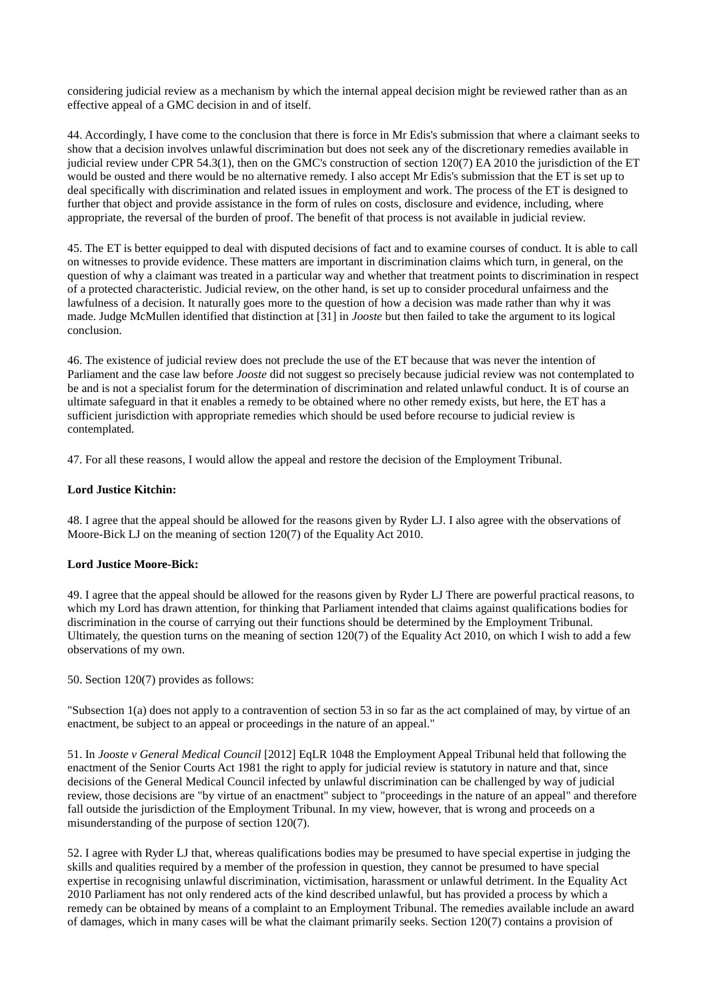considering judicial review as a mechanism by which the internal appeal decision might be reviewed rather than as an effective appeal of a GMC decision in and of itself.

44. Accordingly, I have come to the conclusion that there is force in Mr Edis's submission that where a claimant seeks to show that a decision involves unlawful discrimination but does not seek any of the discretionary remedies available in judicial review under CPR 54.3(1), then on the GMC's construction of section 120(7) EA 2010 the jurisdiction of the ET would be ousted and there would be no alternative remedy. I also accept Mr Edis's submission that the ET is set up to deal specifically with discrimination and related issues in employment and work. The process of the ET is designed to further that object and provide assistance in the form of rules on costs, disclosure and evidence, including, where appropriate, the reversal of the burden of proof. The benefit of that process is not available in judicial review.

45. The ET is better equipped to deal with disputed decisions of fact and to examine courses of conduct. It is able to call on witnesses to provide evidence. These matters are important in discrimination claims which turn, in general, on the question of why a claimant was treated in a particular way and whether that treatment points to discrimination in respect of a protected characteristic. Judicial review, on the other hand, is set up to consider procedural unfairness and the lawfulness of a decision. It naturally goes more to the question of how a decision was made rather than why it was made. Judge McMullen identified that distinction at [31] in *Jooste* but then failed to take the argument to its logical conclusion.

46. The existence of judicial review does not preclude the use of the ET because that was never the intention of Parliament and the case law before *Jooste* did not suggest so precisely because judicial review was not contemplated to be and is not a specialist forum for the determination of discrimination and related unlawful conduct. It is of course an ultimate safeguard in that it enables a remedy to be obtained where no other remedy exists, but here, the ET has a sufficient jurisdiction with appropriate remedies which should be used before recourse to judicial review is contemplated.

47. For all these reasons, I would allow the appeal and restore the decision of the Employment Tribunal.

### **Lord Justice Kitchin:**

48. I agree that the appeal should be allowed for the reasons given by Ryder LJ. I also agree with the observations of Moore-Bick LJ on the meaning of section 120(7) of the Equality Act 2010.

### **Lord Justice Moore-Bick:**

49. I agree that the appeal should be allowed for the reasons given by Ryder LJ There are powerful practical reasons, to which my Lord has drawn attention, for thinking that Parliament intended that claims against qualifications bodies for discrimination in the course of carrying out their functions should be determined by the Employment Tribunal. Ultimately, the question turns on the meaning of section 120(7) of the Equality Act 2010, on which I wish to add a few observations of my own.

50. Section 120(7) provides as follows:

"Subsection 1(a) does not apply to a contravention of section 53 in so far as the act complained of may, by virtue of an enactment, be subject to an appeal or proceedings in the nature of an appeal."

51. In *Jooste v General Medical Council* [2012] EqLR 1048 the Employment Appeal Tribunal held that following the enactment of the Senior Courts Act 1981 the right to apply for judicial review is statutory in nature and that, since decisions of the General Medical Council infected by unlawful discrimination can be challenged by way of judicial review, those decisions are "by virtue of an enactment" subject to "proceedings in the nature of an appeal" and therefore fall outside the jurisdiction of the Employment Tribunal. In my view, however, that is wrong and proceeds on a misunderstanding of the purpose of section 120(7).

52. I agree with Ryder LJ that, whereas qualifications bodies may be presumed to have special expertise in judging the skills and qualities required by a member of the profession in question, they cannot be presumed to have special expertise in recognising unlawful discrimination, victimisation, harassment or unlawful detriment. In the Equality Act 2010 Parliament has not only rendered acts of the kind described unlawful, but has provided a process by which a remedy can be obtained by means of a complaint to an Employment Tribunal. The remedies available include an award of damages, which in many cases will be what the claimant primarily seeks. Section 120(7) contains a provision of